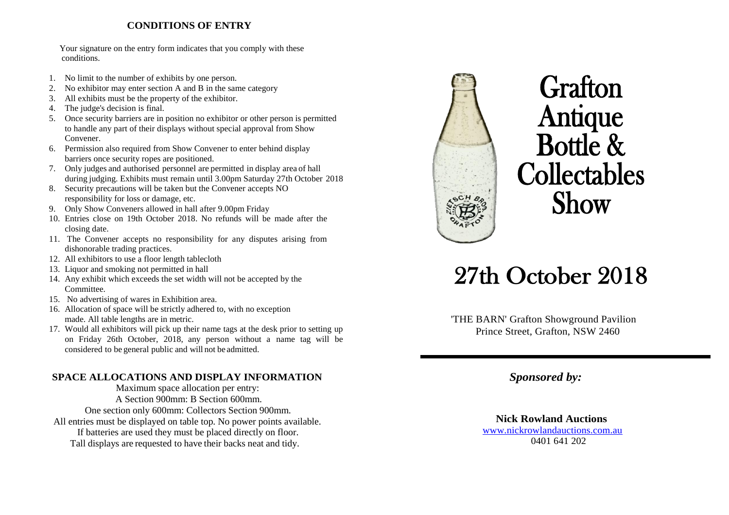### **CONDITIONS OF ENTRY**

Your signature on the entry form indicates that you comply with these conditions.

- 1. No limit to the number of exhibits by one person.
- 2. No exhibitor may enter section A and B in the same category
- 3. All exhibits must be the property of the exhibitor.
- 4. The judge's decision is final.
- 5. Once security barriers are in position no exhibitor or other person is permitted to handle any part of their displays without special approval from Show Convener.
- 6. Permission also required from Show Convener to enter behind display barriers once security ropes are positioned.
- 7. Only judges and authorised personnel are permitted in display area of hall during judging. Exhibits must remain until 3.00pm Saturday 27th October 2018
- 8. Security precautions will be taken but the Convener accepts NO responsibility for loss or damage, etc.
- 9. Only Show Conveners allowed in hall after 9.00pm Friday
- 10. Entries close on 19th October 2018. No refunds will be made after the closing date.
- 11. The Convener accepts no responsibility for any disputes arising from dishonorable trading practices.
- 12. All exhibitors to use a floor length tablecloth
- 13. Liquor and smoking not permitted in hall
- 14. Any exhibit which exceeds the set width will not be accepted by the Committee.
- 15. No advertising of wares in Exhibition area.
- 16. Allocation of space will be strictly adhered to, with no exception made. All table lengths are in metric.
- 17. Would all exhibitors will pick up their name tags at the desk prior to setting up on Friday 26th October, 2018, any person without a name tag will be considered to be general public and will not be admitted.

### **SPACE ALLOCATIONS AND DISPLAY INFORMATION**

Maximum space allocation per entry: A Section 900mm: B Section 600mm. One section only 600mm: Collectors Section 900mm. All entries must be displayed on table top. No power points available. If batteries are used they must be placed directly on floor. Tall displays are requested to have their backs neat and tidy.



# **Grafton** Antique Bottle & **Collectables** Show

# 27th October 2018

'THE BARN' Grafton Showground Pavilion Prince Street, Grafton, NSW 2460

*Sponsored by:*

 **Nick Rowland Auctions** [www.nickrowlandauctions.com.au](http://www.nickrowlandauctions.com.au/) 0401 641 202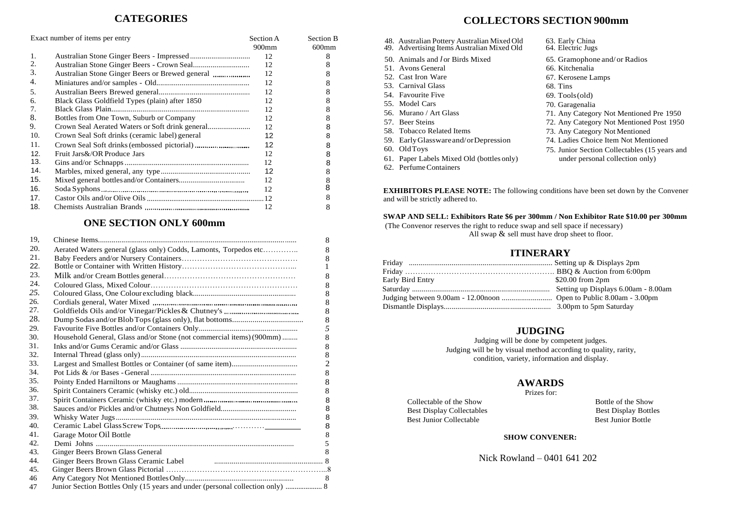|     | Exact number of items per entry                | Section A<br>900mm | Section B<br>$600$ mm |
|-----|------------------------------------------------|--------------------|-----------------------|
| 1.  |                                                | 12                 | 8                     |
| 2.  |                                                | 12                 | 8                     |
| 3.  |                                                | 12                 | 8                     |
| 4.  |                                                | 12                 | 8                     |
| .5. |                                                | 12                 | 8                     |
| 6.  | Black Glass Goldfield Types (plain) after 1850 | 12                 | 8                     |
| 7.  |                                                | 12                 | 8                     |
| 8.  | Bottles from One Town, Suburb or Company       | 12                 | 8                     |
| 9.  |                                                | 12                 | 8                     |
| 10. | Crown Seal Soft drinks (ceramic label) general | 12                 | 8                     |
| 11. |                                                | 12                 | 8                     |
| 12. | Fruit Jars&/OR Produce Jars                    | 12                 | 8                     |
| 13. |                                                | 12                 | 8                     |
| 14. |                                                | 12                 | 8                     |
| 15. |                                                | 12                 | 8                     |
| 16. |                                                | 12                 | 8                     |
| 17. |                                                |                    |                       |
| 18. |                                                | 12                 | 8                     |

### **ONE SECTION ONLY 600mm**

| 19. |                                                                               | 8              |
|-----|-------------------------------------------------------------------------------|----------------|
| 20. | Aerated Waters general (glass only) Codds, Lamonts, Torpedos etc              | 8              |
| 21. |                                                                               | 8              |
| 22. |                                                                               | 1              |
| 23. |                                                                               | 8              |
| 24. |                                                                               | 8              |
| 25. |                                                                               | 8              |
| 26. |                                                                               | 8              |
| 27. |                                                                               | 8              |
| 28. |                                                                               | 8              |
| 29. |                                                                               | 5              |
| 30. | Household General, Glass and/or Stone (not commercial items) (900mm)          | 8              |
| 31. |                                                                               | 8              |
| 32. |                                                                               | 8              |
| 33. |                                                                               | $\overline{2}$ |
| 34. |                                                                               | 8              |
| 35. |                                                                               | 8              |
| 36. |                                                                               | 8              |
| 37. |                                                                               | 8              |
| 38. |                                                                               | 8              |
| 39. |                                                                               | 8              |
| 40. |                                                                               | 8              |
| 41. | Garage Motor Oil Bottle                                                       | 8              |
| 42. |                                                                               | 5              |
| 43. | Ginger Beers Brown Glass General                                              | 8              |
| 44. |                                                                               |                |
| 45. |                                                                               |                |
| 46  |                                                                               | 8              |
| 47  | Junior Section Bottles Only (15 years and under (personal collection only)  8 |                |
|     |                                                                               |                |

# **CATEGORIES COLLECTORS SECTION 900mm**

| 48. Australian Pottery Australian Mixed Old<br>49. Advertising Items Australian Mixed Old | 63. Early China<br>64. Electric Jugs          |
|-------------------------------------------------------------------------------------------|-----------------------------------------------|
| 50. Animals and <i>for Birds Mixed</i>                                                    | 65. Gramophone and/ or Radios                 |
| 51. Avons General                                                                         | 66. Kitchenalia                               |
| 52. Cast Iron Ware                                                                        | 67. Kerosene Lamps                            |
| 53. Carnival Glass                                                                        | 68. Tins                                      |
| 54. Favourite Five                                                                        | $69. Tools$ (old)                             |
| 55. Model Cars                                                                            | 70. Garagenalia                               |
| 56. Murano / Art Glass                                                                    | 71. Any Category Not Mentioned Pre 1950       |
| 57. Beer Steins                                                                           | 72. Any Category Not Mentioned Post 1950      |
| 58. Tobacco Related Items                                                                 | 73. Any Category Not Mentioned                |
| 59. Early Glassware and/or Depression                                                     | 74. Ladies Choice Item Not Mentioned          |
| 60. OldToys                                                                               | 75. Junior Section Collectables (15 years and |
| 61. Paper Labels Mixed Old (bottles only)                                                 | under personal collection only)               |
| 62. Perfume Containers                                                                    |                                               |

**EXHIBITORS PLEASE NOTE:** The following conditions have been set down by the Convener and will be strictly adhered to.

**SWAP AND SELL: Exhibitors Rate \$6 per 300mm / Non Exhibitor Rate \$10.00 per 300mm**

(The Convenor reserves the right to reduce swap and sell space if necessary) All swap  $\&$  sell must have drop sheet to floor.

#### **ITINERARY**

| Early Bird Entry | $$20.00$ from $2pm$ |
|------------------|---------------------|
|                  |                     |
|                  |                     |
|                  |                     |

#### **JUDGING**

Judging will be done by competent judges. Judging will be by visual method according to quality, rarity, condition, variety, information and display.

# **AWARDS**

Prizes for:

Collectable of the Show Bottle of the Show Best Display Collectables Best Display Bottles Best Junior Collectable Best Junior Bottle

#### **SHOW CONVENER:**

Nick Rowland – 0401 641 202